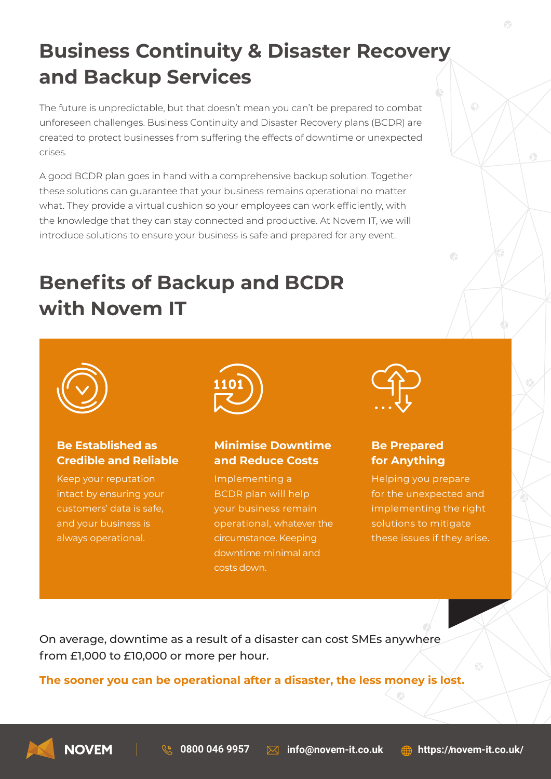# **Business Continuity & Disaster Recovery and Backup Services**

The future is unpredictable, but that doesn't mean you can't be prepared to combat unforeseen challenges. Business Continuity and Disaster Recovery plans (BCDR) are created to protect businesses from suffering the effects of downtime or unexpected crises.

A good BCDR plan goes in hand with a comprehensive backup solution. Together these solutions can guarantee that your business remains operational no matter what. They provide a virtual cushion so your employees can work efficiently, with the knowledge that they can stay connected and productive. At Novem IT, we will introduce solutions to ensure your business is safe and prepared for any event.

# **Benefits of Backup and BCDR with Novem IT**



#### **Be Established as Credible and Reliable**

Keep your reputation intact by ensuring your customers' data is safe, and your business is always operational.



## **Minimise Downtime and Reduce Costs**

Implementing a BCDR plan will help your business remain operational, whatever the circumstance. Keeping downtime minimal and costs down.



## **Be Prepared for Anything**

Helping you prepare for the unexpected and implementing the right solutions to mitigate these issues if they arise.

 $\sqrt{2}$ 

On average, downtime as a result of a disaster can cost SMEs anywhere from £1,000 to £10,000 or more per hour.

**The sooner you can be operational after a disaster, the less money is lost.**



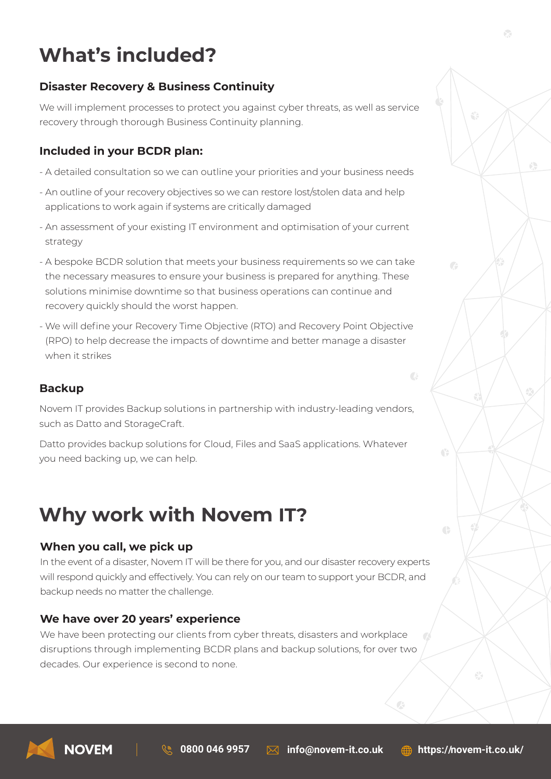# **What's included?**

### **Disaster Recovery & Business Continuity**

We will implement processes to protect you against cyber threats, as well as service recovery through thorough Business Continuity planning.

#### **Included in your BCDR plan:**

- A detailed consultation so we can outline your priorities and your business needs
- An outline of your recovery objectives so we can restore lost/stolen data and help applications to work again if systems are critically damaged
- An assessment of your existing IT environment and optimisation of your current strategy
- A bespoke BCDR solution that meets your business requirements so we can take the necessary measures to ensure your business is prepared for anything. These solutions minimise downtime so that business operations can continue and recovery quickly should the worst happen.
- We will define your Recovery Time Objective (RTO) and Recovery Point Objective (RPO) to help decrease the impacts of downtime and better manage a disaster when it strikes

#### **Backup**

Novem IT provides Backup solutions in partnership with industry-leading vendors, such as Datto and StorageCraft.

Datto provides backup solutions for Cloud, Files and SaaS applications. Whatever you need backing up, we can help.

# **Why work with Novem IT?**

#### **When you call, we pick up**

In the event of a disaster, Novem IT will be there for you, and our disaster recovery experts will respond quickly and effectively. You can rely on our team to support your BCDR, and backup needs no matter the challenge.

#### **We have over 20 years' experience**

We have been protecting our clients from cyber threats, disasters and workplace disruptions through implementing BCDR plans and backup solutions, for over two decades. Our experience is second to none.



G

 $\bigoplus$